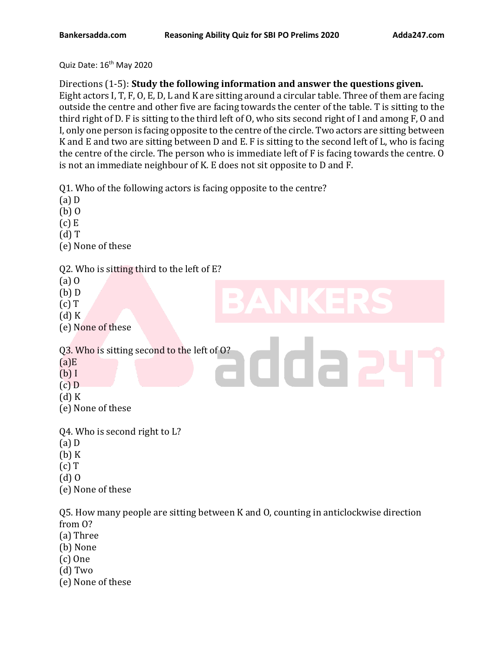Quiz Date:  $16^{th}$  May 2020

Directions (1-5): **Study the following information and answer the questions given.**

Eight actors I, T, F, O, E, D, L and K are sitting around a circular table. Three of them are facing outside the centre and other five are facing towards the center of the table. T is sitting to the third right of D. F is sitting to the third left of O, who sits second right of I and among F, O and I, only one person is facing opposite to the centre of the circle. Two actors are sitting between K and E and two are sitting between D and E. F is sitting to the second left of L, who is facing the centre of the circle. The person who is immediate left of F is facing towards the centre. O is not an immediate neighbour of K. E does not sit opposite to D and F.

Q1. Who of the following actors is facing opposite to the centre?

- (a) D
- (b) O
- $(c)$  E
- (d) T
- (e) None of these

# Q2. Who is sitting third to the left of E?

- (a) O
- (b) D
- $(c)$  T
- (d) K
- (e) None of these

Q3. Who is sitting second to the left of O?

- $(a)E$
- (b) I
- (c) D
- (d) K
- (e) None of these
- Q4. Who is second right to L?
- (a) D
- (b) K
- (c) T
- (d) O
- (e) None of these

Q5. How many people are sitting between K and O, counting in anticlockwise direction from O?

dda

- (a) Three
- (b) None
- (c) One
- (d) Two
- (e) None of these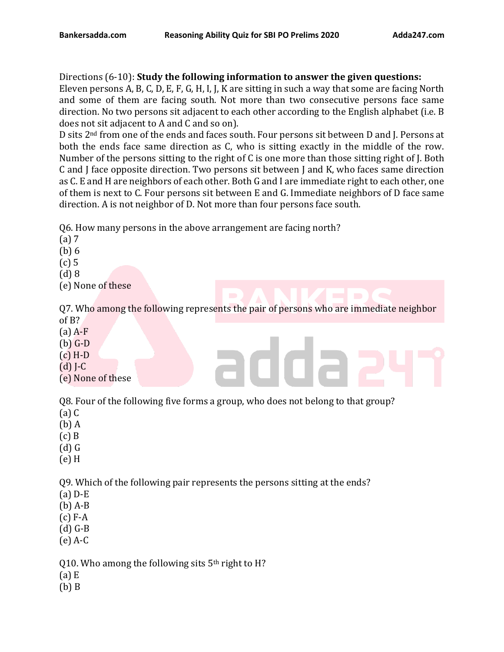Directions (6-10): **Study the following information to answer the given questions:** Eleven persons A, B, C, D, E, F, G, H, I, J, K are sitting in such a way that some are facing North and some of them are facing south. Not more than two consecutive persons face same direction. No two persons sit adjacent to each other according to the English alphabet (i.e. B does not sit adjacent to A and C and so on).

D sits 2nd from one of the ends and faces south. Four persons sit between D and J. Persons at both the ends face same direction as C, who is sitting exactly in the middle of the row. Number of the persons sitting to the right of C is one more than those sitting right of J. Both C and J face opposite direction. Two persons sit between J and K, who faces same direction as C. E and H are neighbors of each other. Both G and I are immediate right to each other, one of them is next to C. Four persons sit between E and G. Immediate neighbors of D face same direction. A is not neighbor of D. Not more than four persons face south.

Q6. How many persons in the above arrangement are facing north?

- (a) 7
- (b) 6
- (c) 5
- (d) 8
- (e) None of these

Q7. Who among the following represents the pair of persons who are immediate neighbor of B?

- (a) A-F
- (b) G-D
- (c) H-D
- (d) J-C
- (e) None of these

Q8. Four of the following five forms a group, who does not belong to that group?

- (a) C
- (b) A
- (c) B
- (d) G
- (e) H

Q9. Which of the following pair represents the persons sitting at the ends?

- (a) D-E
- (b) A-B
- (c) F-A
- (d) G-B
- (e) A-C

Q10. Who among the following sits  $5<sup>th</sup>$  right to H?

- (a) E
- (b) B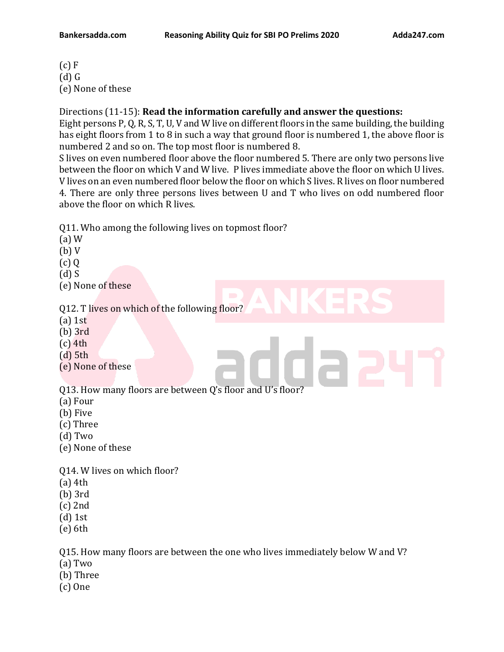$(c)$  F (d) G (e) None of these

Directions (11-15): **Read the information carefully and answer the questions:**

Eight persons P, Q, R, S, T, U, V and W live on different floors in the same building, the building has eight floors from 1 to 8 in such a way that ground floor is numbered 1, the above floor is numbered 2 and so on. The top most floor is numbered 8.

S lives on even numbered floor above the floor numbered 5. There are only two persons live between the floor on which V and W live. P lives immediate above the floor on which U lives. V lives on an even numbered floor below the floor on which S lives. R lives on floor numbered 4. There are only three persons lives between U and T who lives on odd numbered floor above the floor on which R lives.

Q11. Who among the following lives on topmost floor?

- (a) W (b) V (c) Q (d) S (e) None of these Q12. T lives on which of the following floor? (a) 1st (b) 3rd (c) 4th (d) 5th (e) None of these Q13. How many floors are between Q's floor and U's floor? (a) Four (b) Five (c) Three (d) Two (e) None of these Q14. W lives on which floor? (a) 4th (b) 3rd (c) 2nd
- (d) 1st
- (e) 6th

Q15. How many floors are between the one who lives immediately below W and V?

- (a) Two
- (b) Three
- (c) One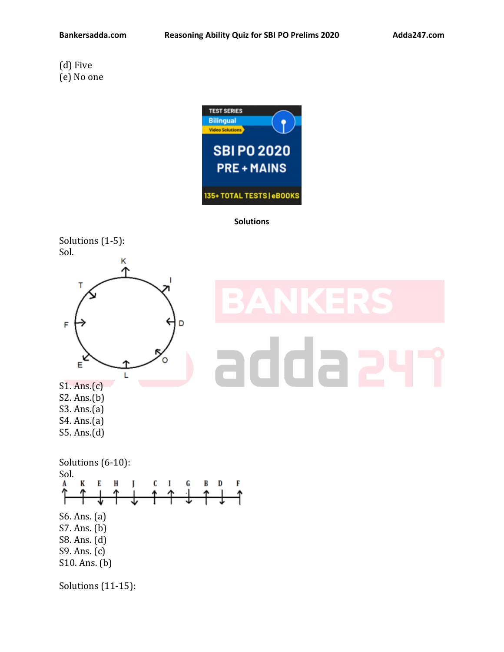## (d) Five (e) No one



### **Solutions**





# S2. Ans.(b) S3. Ans.(a)

- S4. Ans.(a)
- S5. Ans.(d)

# ida



Solutions (11-15):